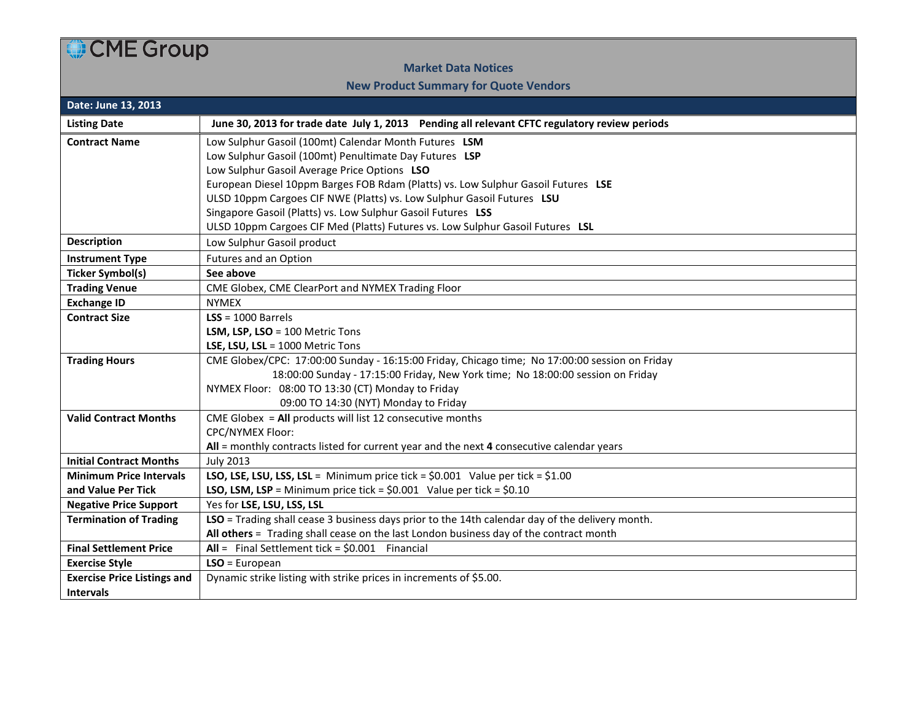## CME Group

## **Market Data Notices**

## **New Product Summary for Quote Vendors**

| Date: June 13, 2013                |                                                                                                 |  |  |  |  |  |  |  |
|------------------------------------|-------------------------------------------------------------------------------------------------|--|--|--|--|--|--|--|
| <b>Listing Date</b>                | June 30, 2013 for trade date July 1, 2013 Pending all relevant CFTC regulatory review periods   |  |  |  |  |  |  |  |
| <b>Contract Name</b>               | Low Sulphur Gasoil (100mt) Calendar Month Futures LSM                                           |  |  |  |  |  |  |  |
|                                    | Low Sulphur Gasoil (100mt) Penultimate Day Futures LSP                                          |  |  |  |  |  |  |  |
|                                    | Low Sulphur Gasoil Average Price Options LSO                                                    |  |  |  |  |  |  |  |
|                                    | European Diesel 10ppm Barges FOB Rdam (Platts) vs. Low Sulphur Gasoil Futures LSE               |  |  |  |  |  |  |  |
|                                    | ULSD 10ppm Cargoes CIF NWE (Platts) vs. Low Sulphur Gasoil Futures LSU                          |  |  |  |  |  |  |  |
|                                    | Singapore Gasoil (Platts) vs. Low Sulphur Gasoil Futures LSS                                    |  |  |  |  |  |  |  |
|                                    | ULSD 10ppm Cargoes CIF Med (Platts) Futures vs. Low Sulphur Gasoil Futures LSL                  |  |  |  |  |  |  |  |
| <b>Description</b>                 | Low Sulphur Gasoil product                                                                      |  |  |  |  |  |  |  |
| <b>Instrument Type</b>             | Futures and an Option                                                                           |  |  |  |  |  |  |  |
| <b>Ticker Symbol(s)</b>            | See above                                                                                       |  |  |  |  |  |  |  |
| <b>Trading Venue</b>               | CME Globex, CME ClearPort and NYMEX Trading Floor                                               |  |  |  |  |  |  |  |
| <b>Exchange ID</b>                 | <b>NYMEX</b>                                                                                    |  |  |  |  |  |  |  |
| <b>Contract Size</b>               | $LSS = 1000$ Barrels                                                                            |  |  |  |  |  |  |  |
|                                    | LSM, LSP, LSO = 100 Metric Tons                                                                 |  |  |  |  |  |  |  |
|                                    | LSE, LSU, LSL = 1000 Metric Tons                                                                |  |  |  |  |  |  |  |
| <b>Trading Hours</b>               | CME Globex/CPC: 17:00:00 Sunday - 16:15:00 Friday, Chicago time; No 17:00:00 session on Friday  |  |  |  |  |  |  |  |
|                                    | 18:00:00 Sunday - 17:15:00 Friday, New York time; No 18:00:00 session on Friday                 |  |  |  |  |  |  |  |
|                                    | NYMEX Floor: 08:00 TO 13:30 (CT) Monday to Friday                                               |  |  |  |  |  |  |  |
|                                    | 09:00 TO 14:30 (NYT) Monday to Friday                                                           |  |  |  |  |  |  |  |
| <b>Valid Contract Months</b>       | CME Globex = $All$ products will list 12 consecutive months                                     |  |  |  |  |  |  |  |
|                                    | <b>CPC/NYMEX Floor:</b>                                                                         |  |  |  |  |  |  |  |
|                                    | All = monthly contracts listed for current year and the next 4 consecutive calendar years       |  |  |  |  |  |  |  |
| <b>Initial Contract Months</b>     | <b>July 2013</b>                                                                                |  |  |  |  |  |  |  |
| <b>Minimum Price Intervals</b>     | LSO, LSE, LSU, LSS, LSL = Minimum price tick = $$0.001$ Value per tick = $$1.00$                |  |  |  |  |  |  |  |
| and Value Per Tick                 | <b>LSO, LSM, LSP</b> = Minimum price tick = $$0.001$ Value per tick = $$0.10$                   |  |  |  |  |  |  |  |
| <b>Negative Price Support</b>      | Yes for LSE, LSU, LSS, LSL                                                                      |  |  |  |  |  |  |  |
| <b>Termination of Trading</b>      | LSO = Trading shall cease 3 business days prior to the 14th calendar day of the delivery month. |  |  |  |  |  |  |  |
|                                    | All others = Trading shall cease on the last London business day of the contract month          |  |  |  |  |  |  |  |
| <b>Final Settlement Price</b>      | $All =$ Final Settlement tick = \$0.001 Financial                                               |  |  |  |  |  |  |  |
| <b>Exercise Style</b>              | $LSO = European$                                                                                |  |  |  |  |  |  |  |
| <b>Exercise Price Listings and</b> | Dynamic strike listing with strike prices in increments of \$5.00.                              |  |  |  |  |  |  |  |
| <b>Intervals</b>                   |                                                                                                 |  |  |  |  |  |  |  |